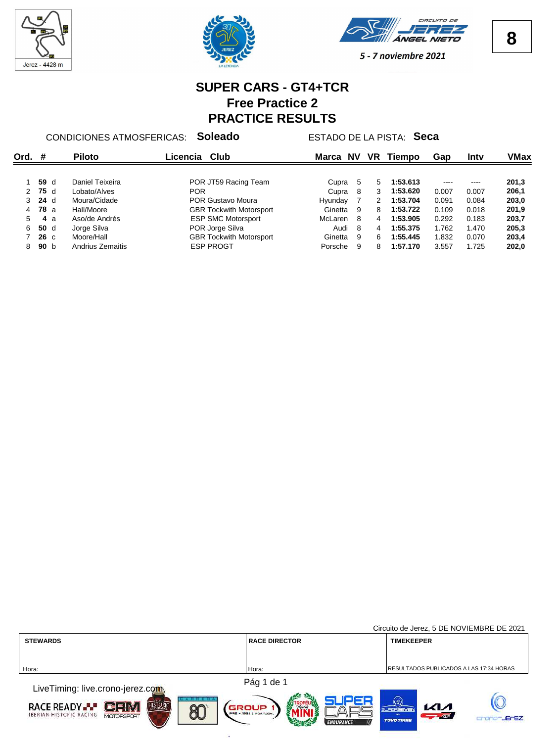





## **SUPER CARS - GT4+TCR Free Practice 2 PRACTICE RESULTS**

CONDICIONES ATMOSFERICAS: **Soleado** ESTADO DE LA PISTA: **Seca**

| Ord.         | #           |                 | <b>Piloto</b>    | Club<br>Licencia               | Marca   | NV  | VR | Tiempo   | Gap   | Intv  | VMax  |
|--------------|-------------|-----------------|------------------|--------------------------------|---------|-----|----|----------|-------|-------|-------|
|              |             | 59 d            | Daniel Teixeira  | POR JT59 Racing Team           | Cupra 5 |     | 5  | 1:53.613 |       | ----  | 201,3 |
| 2            | 75 d        |                 | Lobato/Alves     | <b>POR</b>                     | Cupra   | - 8 | 3  | 1:53.620 | 0.007 | 0.007 | 206,1 |
| $\mathbf{3}$ | $24$ d      |                 | Moura/Cidade     | POR Gustavo Moura              | Hvundav |     | 2  | 1:53.704 | 0.091 | 0.084 | 203,0 |
| 4            | <b>78</b> a |                 | Hall/Moore       | <b>GBR Tockwith Motorsport</b> | Ginetta | 9   | 8  | 1:53.722 | 0.109 | 0.018 | 201.9 |
| 5.           |             | 4а              | Aso/de Andrés    | <b>ESP SMC Motorsport</b>      | McLaren | - 8 | 4  | 1:53.905 | 0.292 | 0.183 | 203,7 |
| 6            |             | 50 d            | Jorge Silva      | POR Jorge Silva                | Audi    | - 8 | 4  | 1:55.375 | 1.762 | 1.470 | 205,3 |
|              |             | $26\,c$         | Moore/Hall       | <b>GBR Tockwith Motorsport</b> | Ginetta | -9  | 6  | 1:55.445 | 1.832 | 0.070 | 203,4 |
| 8.           |             | 90 <sub>b</sub> | Andrius Zemaitis | <b>ESP PROGT</b>               | Porsche | 9   | 8  | 1:57.170 | 3.557 | 1.725 | 202,0 |

|                                                                                                                        |                                                           | Circuito de Jerez, 5 DE NOVIEMBRE DE 2021                                                                |
|------------------------------------------------------------------------------------------------------------------------|-----------------------------------------------------------|----------------------------------------------------------------------------------------------------------|
| <b>STEWARDS</b>                                                                                                        | <b>RACE DIRECTOR</b>                                      | <b>TIMEKEEPER</b>                                                                                        |
|                                                                                                                        |                                                           |                                                                                                          |
| Hora:                                                                                                                  | Hora:                                                     | RESULTADOS PUBLICADOS A LAS 17:34 HORAS                                                                  |
|                                                                                                                        | Pág 1 de 1                                                |                                                                                                          |
| LiveTiming: live.crono-jerez.com                                                                                       |                                                           |                                                                                                          |
| <b>HISTORIC</b><br><b>RACE READY --</b><br>$C = N$<br><b>RN</b><br><b>IBERIAN HISTORIC RACING</b><br><b>MOTOESPORT</b> | GROUP<br><b>PRE - 1982   PORTUGAL</b><br><b>ENDURANCE</b> | $\left(\mathbf{w}\right)$<br>$\mathcal{K}$<br><b>SUPERSEVEN</b><br>$-1.60$<br>-JErEZ<br><b>TOVOTIREE</b> |

œ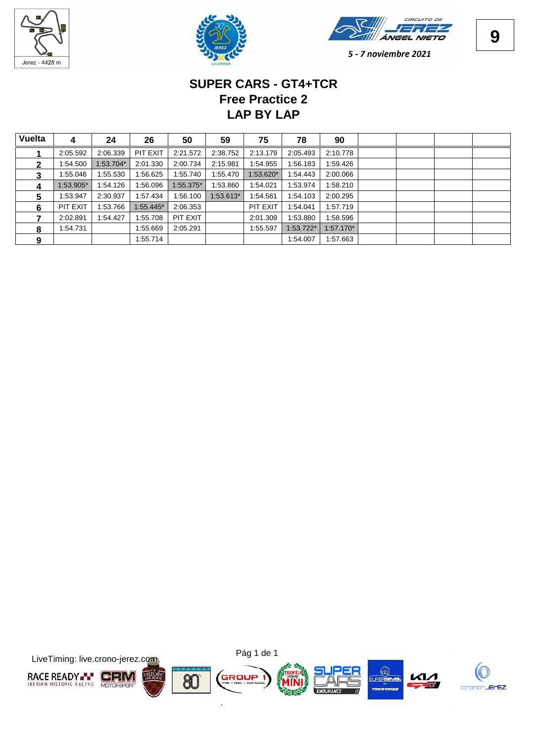





# **LAP BY LAP Free Practice 2 SUPER CARS - GT4+TCR**

| Vuelta | 4         | 24        | 26        | 50        | 59        | 75        | 78        | 90          |  |  |
|--------|-----------|-----------|-----------|-----------|-----------|-----------|-----------|-------------|--|--|
|        | 2:05.592  | 2:06.339  | PIT EXIT  | 2:21.572  | 2:38.752  | 2:13.179  | 2:05.493  | 2:10.778    |  |  |
| 2      | 1:54.500  | 1:53.704* | 2:01.330  | 2:00.734  | 2:15.981  | 1:54.955  | 1:56.183  | 1:59.426    |  |  |
| 3      | 1:55.046  | 1:55.530  | 1:56.625  | 1:55.740  | 1:55.470  | 1:53.620* | 1:54.443  | 2:00.066    |  |  |
| 4      | 1:53.905* | 1:54.126  | 1:56.096  | 1:55.375* | 1:53.860  | 1:54.021  | 1:53.974  | 1:58.210    |  |  |
| 5      | 1:53.947  | 2:30.937  | 1:57.434  | 1:56.100  | 1:53.613* | 1:54.561  | 1:54.103  | 2:00.295    |  |  |
| 6      | PIT EXIT  | 1:53.766  | 1:55.445* | 2:06.353  |           | PIT EXIT  | 1:54.041  | 1:57.719    |  |  |
|        | 2:02.891  | 1:54.427  | 1:55.708  | PIT EXIT  |           | 2:01.309  | 1:53.880  | 1:58.596    |  |  |
| 8      | 1:54.731  |           | 1:55.669  | 2:05.291  |           | 1:55.597  | 1:53.722* | $1:57.170*$ |  |  |
| 9      |           |           | 1:55.714  |           |           |           | 1:54.007  | 1:57.663    |  |  |

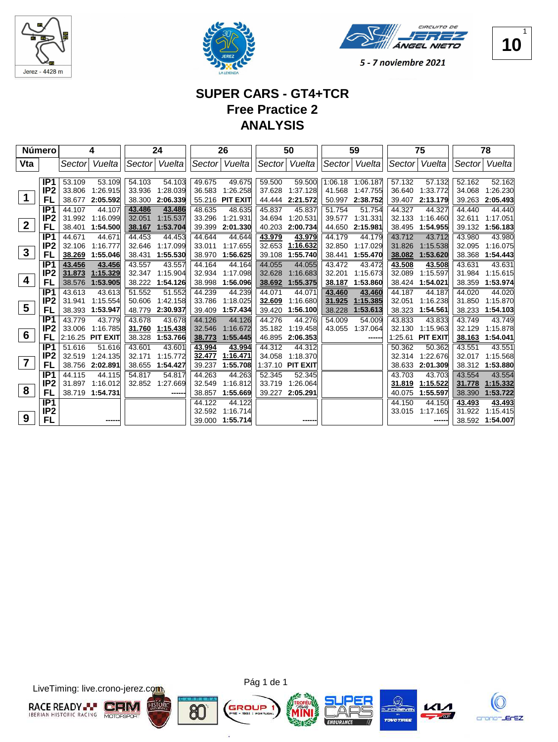





## **SUPER CARS - GT4+TCR Free Practice 2 ANALYSIS**

| Número           |                 |        | 4                |        | 24       |        | 26              |         | 50              |         | 59            |         | 75              |        | 78       |
|------------------|-----------------|--------|------------------|--------|----------|--------|-----------------|---------|-----------------|---------|---------------|---------|-----------------|--------|----------|
| Vta              |                 | Sector | Vuelta           | Sector | Vuelta   | Sector | Vuelta          | Sector  | Vuelta          |         | Sector Vuelta | Sector  | Vuelta          | Sector | Vuelta   |
|                  |                 |        |                  |        |          |        |                 |         |                 |         |               |         |                 |        |          |
|                  | IP <sub>1</sub> | 53.109 | 53.109           | 54.103 | 54.103   | 49.675 | 49.675          | 59.500  | 59.500          | 1:06.18 | 1:06.187      | 57.132  | 57.132          | 52.162 | 52.162   |
|                  | IP <sub>2</sub> |        | 33.806 1:26.915  | 33.936 | 1:28.039 | 36.583 | 1:26.258        | 37.628  | 1:37.128        | 41.568  | 1:47.755      | 36.640  | 1:33.772        | 34.068 | 1:26.230 |
| 1                | FL              | 38.677 | 2:05.592         | 38.300 | 2:06.339 | 55.216 | <b>PIT EXIT</b> | 44.444  | 2:21.572        | 50.997  | 2:38.752      | 39.407  | 2:13.179        | 39.263 | 2:05.493 |
|                  | IP <sub>1</sub> | 44.107 | 44.107           | 43.486 | 43.486   | 48.635 | 48.635          | 45.837  | 45.837          | 51.754  | 51.754        | 44.327  | 44.327          | 44.440 | 44.440   |
|                  | IP <sub>2</sub> |        | 31.992 1:16.099  | 32.051 | 1:15.537 | 33.296 | 1:21.931        | 34.694  | 1:20.531        | 39.577  | 1:31.331      | 32.133  | 1:16.460        | 32.611 | 1:17.051 |
| $\boldsymbol{2}$ | FL              | 38.401 | 1:54.500         | 38.167 | 1:53.704 | 39.399 | 2:01.330        | 40.203  | 2:00.734        | 44.650  | 2:15.981      | 38.495  | 1:54.955        | 39.132 | 1:56.183 |
|                  | IP <sub>1</sub> | 44.671 | 44.671           | 44.453 | 44.453   | 44.644 | 44.644          | 43.979  | 43.979          | 44.179  | 44.179        | 43.712  | 43.712          | 43.980 | 43.980   |
|                  | IP <sub>2</sub> | 32.106 | 1:16.777         | 32.646 | 1:17.099 | 33.011 | 1:17.655        | 32.653  | 1:16.632        | 32.850  | 1:17.029      | 31.826  | 1:15.538        | 32.095 | 1:16.075 |
| $\mathbf{3}$     | FL              | 38.269 | 1:55.046         | 38.431 | 1:55.530 | 38.970 | 1:56.625        | 39.108  | 1:55.740        | 38.441  | 1:55.470      | 38.082  | 1:53.620        | 38.368 | 1:54.443 |
|                  | IP <sub>1</sub> | 43.456 | 43.456           | 43.557 | 43.557   | 44.164 | 44.164          | 44.055  | 44.055          | 43.472  | 43.472        | 43.508  | 43.508          | 43.631 | 43.631   |
|                  | IP <sub>2</sub> | 31.873 | 1:15.329         | 32.347 | 1:15.904 | 32.934 | 1:17.098        | 32.628  | 1:16.683        | 32.201  | 1:15.673      | 32.089  | 1:15.597        | 31.984 | 1:15.615 |
| 4                | FL              | 38.576 | 1:53.905         | 38.222 | 1:54.126 | 38.998 | 1:56.096        | 38.692  | 1:55.375        | 38.187  | 1:53.860      | 38.424  | 1:54.021        | 38.359 | 1:53.974 |
|                  | IP <sub>1</sub> | 43.613 | 43.613           | 51.552 | 51.552   | 44.239 | 44.239          | 44.071  | 44.071          | 43.460  | 43.460        | 44.187  | 44.187          | 44.020 | 44.020   |
|                  | IP <sub>2</sub> | 31.941 | 1:15.554         | 50.606 | 1:42.158 | 33.786 | 1:18.025        | 32.609  | 1:16.680        | 31.925  | 1:15.385      | 32.051  | 1:16.238        | 31.850 | 1:15.870 |
| 5                | FL              | 38.393 | 1:53.947         | 48.779 | 2:30.937 | 39.409 | 1:57.434        | 39.420  | 1:56.100        | 38.228  | 1:53.613      | 38.323  | 1:54.561        | 38.233 | 1:54.103 |
|                  | IP <sub>1</sub> | 43.779 | 43.779           | 43.678 | 43.678   | 44.126 | 44.126          | 44.276  | 44.276          | 54.009  | 54.009        | 43.833  | 43.833          | 43.749 | 43.749   |
|                  | IP <sub>2</sub> |        | 33.006 1:16.785  | 31.760 | 1:15.438 | 32.546 | 1:16.672        | 35.182  | 1:19.458        | 43.055  | 1:37.064      | 32.130  | 1:15.963        | 32.129 | 1:15.878 |
| $6\phantom{1}6$  | FL              |        | 2:16.25 PIT EXIT | 38.328 | 1:53.766 | 38.773 | 1:55.445        | 46.895  | 2:06.353        |         |               | 1:25.61 | <b>PIT EXIT</b> | 38.163 | 1:54.041 |
|                  | IP <sub>1</sub> | 51.616 | 51.616           | 43.601 | 43.601   | 43.994 | 43.994          | 44.312  | 44.312          |         |               | 50.362  | 50.362          | 43.551 | 43.551   |
|                  | IP <sub>2</sub> | 32.519 | 1:24.135         | 32.171 | 1:15.772 | 32.477 | 1:16.471        | 34.058  | 1:18.370        |         |               | 32.314  | 1:22.676        | 32.017 | 1:15.568 |
| $\overline{7}$   | FL              | 38.756 | 2:02.891         | 38.655 | 1:54.427 | 39.237 | 1:55.708        | 1:37.10 | <b>PIT EXIT</b> |         |               | 38.633  | 2:01.309        | 38.312 | 1:53.880 |
|                  | IP <sub>1</sub> | 44.115 | 44.115           | 54.817 | 54.817   | 44.263 | 44.263          | 52.345  | 52.345          |         |               | 43.703  | 43.703          | 43.554 | 43.554   |
|                  | IP <sub>2</sub> | 31.897 | 1:16.012         | 32.852 | 1:27.669 | 32.549 | 1:16.812        | 33.719  | 1:26.064        |         |               | 31.819  | 1:15.522        | 31.778 | 1:15.332 |
| 8                | FL              |        | 38.719 1:54.731  |        |          | 38.857 | 1:55.669        | 39.227  | 2:05.291        |         |               | 40.075  | 1:55.597        | 38.390 | 1:53.722 |
|                  | IP <sub>1</sub> |        |                  |        |          | 44.122 | 44.122          |         |                 |         |               | 44.150  | 44.150          | 43.493 | 43.493   |
|                  | IP <sub>2</sub> |        |                  |        |          | 32.592 | 1:16.714        |         |                 |         |               | 33.015  | 1:17.165        | 31.922 | 1:15.415 |
| 9                | FL              |        |                  |        |          | 39.000 | 1:55.714        |         | -----           |         |               |         |                 | 38.592 | 1:54.007 |

LiveTiming: live.crono-jerez.com





ä

8C







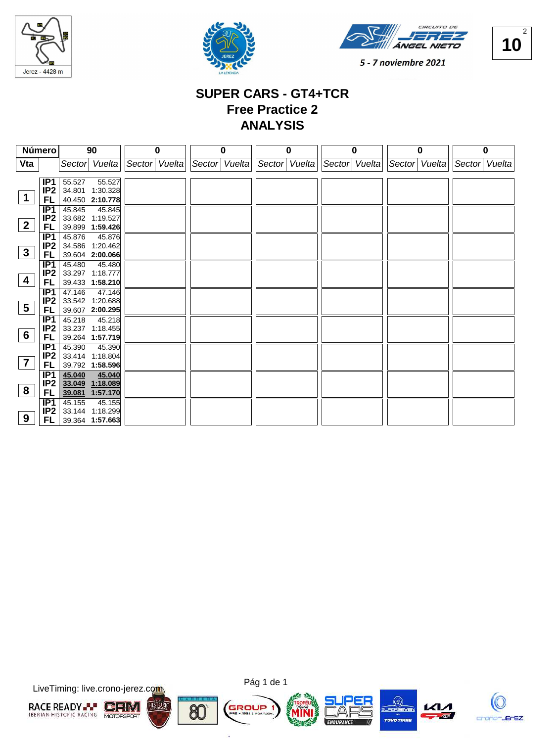





**10** 2

5 - 7 noviembre 2021

## **SUPER CARS - GT4+TCR Free Practice 2 ANALYSIS**

|                 | <b>Número</b>          | 90                                  | 0             | 0             | 0                           | $\mathbf 0$ | 0             | 0             |
|-----------------|------------------------|-------------------------------------|---------------|---------------|-----------------------------|-------------|---------------|---------------|
| Vta             |                        | Vuelta<br>Sector                    | Sector Vuelta | Sector Vuelta | Sector Vuelta Sector Vuelta |             | Sector Vuelta | Sector Vuelta |
|                 |                        |                                     |               |               |                             |             |               |               |
|                 | IP1                    | 55.527<br>55.527                    |               |               |                             |             |               |               |
|                 | IP2                    | 34.801 1:30.328                     |               |               |                             |             |               |               |
| $\mathbf 1$     | FL                     | 40.450 2:10.778                     |               |               |                             |             |               |               |
|                 | IP1                    | 45.845<br>45.845                    |               |               |                             |             |               |               |
| $\mathbf{2}$    | IP <sub>2</sub>        | 33.682 1:19.527                     |               |               |                             |             |               |               |
|                 | FL                     | 39.899 1:59.426                     |               |               |                             |             |               |               |
|                 | IP1                    | 45.876<br>45.876                    |               |               |                             |             |               |               |
| $\mathbf{3}$    | IP <sub>2</sub>        | 34.586 1:20.462                     |               |               |                             |             |               |               |
|                 | FL                     | 39.604 2:00.066                     |               |               |                             |             |               |               |
|                 | IP <sub>1</sub>        | 45.480<br>45.480                    |               |               |                             |             |               |               |
| 4               | IP2                    | 33.297 1:18.777                     |               |               |                             |             |               |               |
|                 | FL                     | 39.433 1:58.210                     |               |               |                             |             |               |               |
|                 | IP1                    | 47.146<br>47.146                    |               |               |                             |             |               |               |
| $5\overline{)}$ | IP <sub>2</sub>        | 33.542 1:20.688                     |               |               |                             |             |               |               |
|                 | FL                     | 39.607 2:00.295                     |               |               |                             |             |               |               |
|                 | IP1<br>IP <sub>2</sub> | 45.218<br>45.218<br>33.237 1:18.455 |               |               |                             |             |               |               |
| $6\phantom{1}6$ | FL                     | 39.264 1:57.719                     |               |               |                             |             |               |               |
|                 | IP1                    | 45.390<br>45.390                    |               |               |                             |             |               |               |
|                 | IP <sub>2</sub>        | 33.414 1:18.804                     |               |               |                             |             |               |               |
| $\overline{7}$  | FL                     | 39.792 1:58.596                     |               |               |                             |             |               |               |
|                 | IP <sub>1</sub>        | 45.040<br>45.040                    |               |               |                             |             |               |               |
|                 | IP <sub>2</sub>        | 33.049 1:18.089                     |               |               |                             |             |               |               |
| 8               | FL                     | 39.081 1:57.170                     |               |               |                             |             |               |               |
|                 | IP1                    | 45.155<br>45.155                    |               |               |                             |             |               |               |
|                 | IP <sub>2</sub>        | 33.144 1:18.299                     |               |               |                             |             |               |               |
| 9               | FL.                    | 39.364 1:57.663                     |               |               |                             |             |               |               |

LiveTiming: live.crono-jerez.com





ä

8C







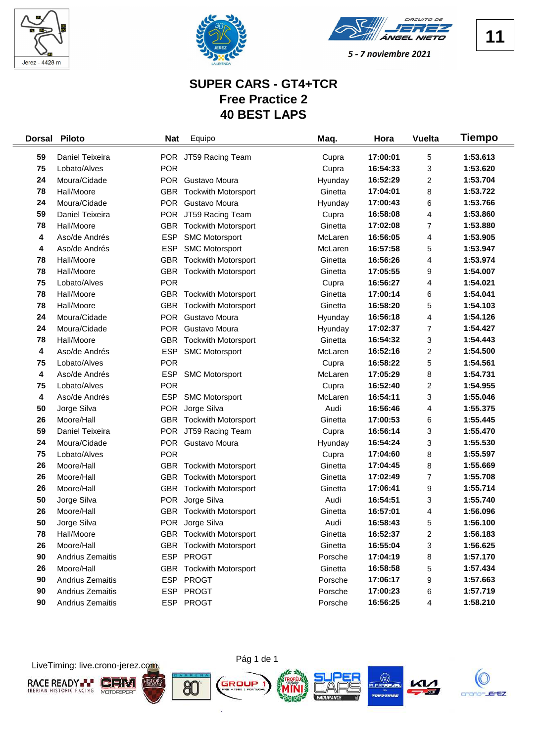





## **SUPER CARS - GT4+TCR Free Practice 2 40 BEST LAPS**

| <b>Dorsal</b> | <b>Piloto</b>    | <b>Nat</b> | Equipo                         | Maq.    | Hora     | <b>Vuelta</b>           | Tiempo   |
|---------------|------------------|------------|--------------------------------|---------|----------|-------------------------|----------|
| 59            | Daniel Teixeira  |            | POR JT59 Racing Team           | Cupra   | 17:00:01 | 5                       | 1:53.613 |
| 75            | Lobato/Alves     | <b>POR</b> |                                | Cupra   | 16:54:33 | 3                       | 1:53.620 |
| 24            | Moura/Cidade     |            | POR Gustavo Moura              | Hyunday | 16:52:29 | $\overline{\mathbf{c}}$ | 1:53.704 |
| 78            | Hall/Moore       | <b>GBR</b> | <b>Tockwith Motorsport</b>     | Ginetta | 17:04:01 | 8                       | 1:53.722 |
| 24            | Moura/Cidade     |            | POR Gustavo Moura              | Hyunday | 17:00:43 | 6                       | 1:53.766 |
| 59            | Daniel Teixeira  |            | POR JT59 Racing Team           | Cupra   | 16:58:08 | 4                       | 1:53.860 |
| 78            | Hall/Moore       | <b>GBR</b> | <b>Tockwith Motorsport</b>     | Ginetta | 17:02:08 | 7                       | 1:53.880 |
| 4             | Aso/de Andrés    | <b>ESP</b> | <b>SMC Motorsport</b>          | McLaren | 16:56:05 | 4                       | 1:53.905 |
| 4             | Aso/de Andrés    | <b>ESP</b> | <b>SMC Motorsport</b>          | McLaren | 16:57:58 | 5                       | 1:53.947 |
| 78            | Hall/Moore       | <b>GBR</b> | <b>Tockwith Motorsport</b>     | Ginetta | 16:56:26 | 4                       | 1:53.974 |
| 78            | Hall/Moore       | <b>GBR</b> | <b>Tockwith Motorsport</b>     | Ginetta | 17:05:55 | 9                       | 1:54.007 |
| 75            | Lobato/Alves     | <b>POR</b> |                                | Cupra   | 16:56:27 | 4                       | 1:54.021 |
| 78            | Hall/Moore       | <b>GBR</b> | <b>Tockwith Motorsport</b>     | Ginetta | 17:00:14 | 6                       | 1:54.041 |
| 78            | Hall/Moore       | <b>GBR</b> | <b>Tockwith Motorsport</b>     | Ginetta | 16:58:20 | 5                       | 1:54.103 |
| 24            | Moura/Cidade     |            | POR Gustavo Moura              | Hyunday | 16:56:18 | 4                       | 1:54.126 |
| 24            | Moura/Cidade     |            | POR Gustavo Moura              | Hyunday | 17:02:37 | $\overline{7}$          | 1:54.427 |
| 78            | Hall/Moore       | <b>GBR</b> | <b>Tockwith Motorsport</b>     | Ginetta | 16:54:32 | 3                       | 1:54.443 |
| 4             | Aso/de Andrés    | <b>ESP</b> | <b>SMC Motorsport</b>          | McLaren | 16:52:16 | $\overline{\mathbf{c}}$ | 1:54.500 |
| 75            | Lobato/Alves     | <b>POR</b> |                                | Cupra   | 16:58:22 | 5                       | 1:54.561 |
| 4             | Aso/de Andrés    | <b>ESP</b> | <b>SMC Motorsport</b>          | McLaren | 17:05:29 | 8                       | 1:54.731 |
| 75            | Lobato/Alves     | <b>POR</b> |                                | Cupra   | 16:52:40 | $\overline{\mathbf{c}}$ | 1:54.955 |
| 4             | Aso/de Andrés    | <b>ESP</b> | <b>SMC Motorsport</b>          | McLaren | 16:54:11 | 3                       | 1:55.046 |
| 50            | Jorge Silva      | <b>POR</b> | Jorge Silva                    | Audi    | 16:56:46 | 4                       | 1:55.375 |
| 26            | Moore/Hall       | <b>GBR</b> | <b>Tockwith Motorsport</b>     | Ginetta | 17:00:53 | 6                       | 1:55.445 |
| 59            | Daniel Teixeira  |            | POR JT59 Racing Team           | Cupra   | 16:56:14 | 3                       | 1:55.470 |
| 24            | Moura/Cidade     |            | POR Gustavo Moura              | Hyunday | 16:54:24 | 3                       | 1:55.530 |
| 75            | Lobato/Alves     | <b>POR</b> |                                | Cupra   | 17:04:60 | 8                       | 1:55.597 |
| 26            | Moore/Hall       |            | GBR Tockwith Motorsport        | Ginetta | 17:04:45 | 8                       | 1:55.669 |
| 26            | Moore/Hall       |            | <b>GBR</b> Tockwith Motorsport | Ginetta | 17:02:49 | 7                       | 1:55.708 |
| 26            | Moore/Hall       | <b>GBR</b> | <b>Tockwith Motorsport</b>     | Ginetta | 17:06:41 | 9                       | 1:55.714 |
| 50            | Jorge Silva      |            | POR Jorge Silva                | Audi    | 16:54:51 | 3                       | 1:55.740 |
| 26            | Moore/Hall       | GBR.       | <b>Tockwith Motorsport</b>     | Ginetta | 16:57:01 | 4                       | 1:56.096 |
| 50            | Jorge Silva      |            | POR Jorge Silva                | Audi    | 16:58:43 | 5                       | 1:56.100 |
| 78            | Hall/Moore       |            | <b>GBR</b> Tockwith Motorsport | Ginetta | 16:52:37 | $\overline{\mathbf{c}}$ | 1:56.183 |
| 26            | Moore/Hall       |            | <b>GBR</b> Tockwith Motorsport | Ginetta | 16:55:04 | 3                       | 1:56.625 |
| 90            | Andrius Zemaitis |            | ESP PROGT                      | Porsche | 17:04:19 | 8                       | 1:57.170 |
| 26            | Moore/Hall       |            | <b>GBR</b> Tockwith Motorsport | Ginetta | 16:58:58 | 5                       | 1:57.434 |
| 90            | Andrius Zemaitis |            | ESP PROGT                      | Porsche | 17:06:17 | 9                       | 1:57.663 |
| 90            | Andrius Zemaitis |            | ESP PROGT                      | Porsche | 17:00:23 | 6                       | 1:57.719 |
| 90            | Andrius Zemaitis |            | ESP PROGT                      | Porsche | 16:56:25 | 4                       | 1:58.210 |

LiveTiming: live.crono-jerez.com







ò.





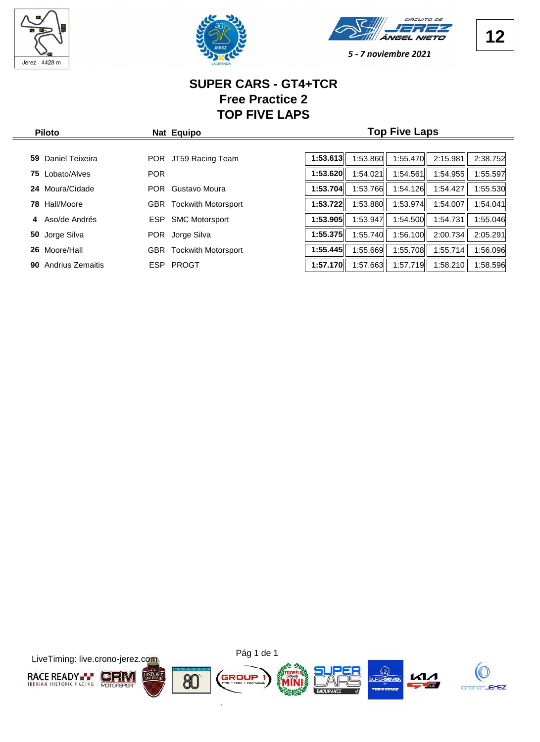

 $\frac{1}{2}$ 





5 - 7 noviembre 2021

#### **SUPER CARS - GT4+TCR Free Practice 2 TOP FIVE LAPS**

| <b>Piloto</b>          | Nat Equipo                               | <b>Top Five Laps</b>                                     |  |  |  |  |  |  |  |
|------------------------|------------------------------------------|----------------------------------------------------------|--|--|--|--|--|--|--|
|                        |                                          |                                                          |  |  |  |  |  |  |  |
| Daniel Teixeira<br>59. | JT59 Racing Team<br><b>POR</b>           | 1:53.613<br>1:53.860<br>1:55.470<br>2:15.981<br>2:38.752 |  |  |  |  |  |  |  |
| Lobato/Alves<br>75     | <b>POR</b>                               | 1:53.620<br>1:54.021<br>1:54.561<br>1:54.955<br>1:55.597 |  |  |  |  |  |  |  |
| Moura/Cidade<br>24     | Gustavo Moura<br><b>POR</b>              | 1:53.704<br>1:53.766<br>1:54.126<br>1:54.427<br>1:55.530 |  |  |  |  |  |  |  |
| Hall/Moore<br>78       | <b>Tockwith Motorsport</b><br><b>GBR</b> | 1:53.722<br>1:53.880<br>1:53.974<br>1:54.007<br>1:54.041 |  |  |  |  |  |  |  |
| Aso/de Andrés<br>4     | <b>SMC Motorsport</b><br><b>ESP</b>      | 1:53.905<br>:53.947<br>1:54.500<br>1:55.046<br>1:54.731  |  |  |  |  |  |  |  |
| Jorge Silva<br>50      | <b>POR</b><br>Jorge Silva                | 1:55.740<br>1:56.100<br>1:55.375<br>2:00.734<br>2:05.291 |  |  |  |  |  |  |  |
| Moore/Hall<br>26       | <b>Tockwith Motorsport</b><br><b>GBR</b> | 1:55.669<br>1:55.708<br>1:55.714<br>1:55.445<br>1:56.096 |  |  |  |  |  |  |  |
| Andrius Zemaitis<br>90 | PROGT<br><b>ESP</b>                      | 1:57.663<br>1:57.719<br>1:57.170<br>1:58.210<br>1:58.596 |  |  |  |  |  |  |  |
|                        |                                          |                                                          |  |  |  |  |  |  |  |

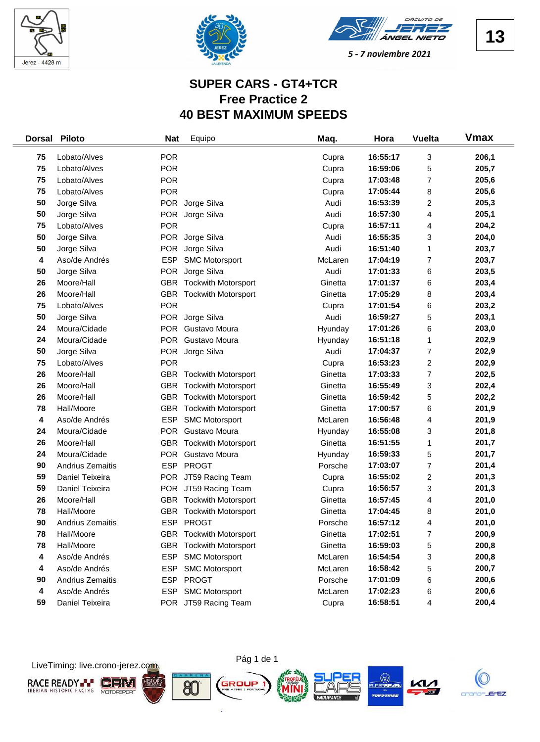





## **SUPER CARS - GT4+TCR Free Practice 2 40 BEST MAXIMUM SPEEDS**

| <b>Dorsal</b> | <b>Piloto</b>    | <b>Nat</b> | Equipo                         | Maq.    | Hora     | <b>Vuelta</b>           | <b>Vmax</b> |
|---------------|------------------|------------|--------------------------------|---------|----------|-------------------------|-------------|
| 75            | Lobato/Alves     | <b>POR</b> |                                | Cupra   | 16:55:17 | 3                       | 206,1       |
| 75            | Lobato/Alves     | <b>POR</b> |                                | Cupra   | 16:59:06 | 5                       | 205,7       |
| 75            | Lobato/Alves     | <b>POR</b> |                                | Cupra   | 17:03:48 | 7                       | 205,6       |
| 75            | Lobato/Alves     | <b>POR</b> |                                | Cupra   | 17:05:44 | 8                       | 205,6       |
| 50            | Jorge Silva      |            | POR Jorge Silva                | Audi    | 16:53:39 | 2                       | 205,3       |
| 50            | Jorge Silva      | <b>POR</b> | Jorge Silva                    | Audi    | 16:57:30 | 4                       | 205,1       |
| 75            | Lobato/Alves     | <b>POR</b> |                                | Cupra   | 16:57:11 | 4                       | 204,2       |
| 50            | Jorge Silva      |            | POR Jorge Silva                | Audi    | 16:55:35 | 3                       | 204,0       |
| 50            | Jorge Silva      |            | POR Jorge Silva                | Audi    | 16:51:40 | 1                       | 203,7       |
| 4             | Aso/de Andrés    | <b>ESP</b> | <b>SMC Motorsport</b>          | McLaren | 17:04:19 | 7                       | 203,7       |
| 50            | Jorge Silva      | <b>POR</b> | Jorge Silva                    | Audi    | 17:01:33 | 6                       | 203,5       |
| 26            | Moore/Hall       | <b>GBR</b> | <b>Tockwith Motorsport</b>     | Ginetta | 17:01:37 | 6                       | 203,4       |
| 26            | Moore/Hall       | <b>GBR</b> | <b>Tockwith Motorsport</b>     | Ginetta | 17:05:29 | 8                       | 203,4       |
| 75            | Lobato/Alves     | <b>POR</b> |                                | Cupra   | 17:01:54 | 6                       | 203,2       |
| 50            | Jorge Silva      |            | POR Jorge Silva                | Audi    | 16:59:27 | 5                       | 203,1       |
| 24            | Moura/Cidade     | <b>POR</b> | Gustavo Moura                  | Hyunday | 17:01:26 | 6                       | 203,0       |
| 24            | Moura/Cidade     | <b>POR</b> | Gustavo Moura                  | Hyunday | 16:51:18 | 1                       | 202,9       |
| 50            | Jorge Silva      | <b>POR</b> | Jorge Silva                    | Audi    | 17:04:37 | 7                       | 202,9       |
| 75            | Lobato/Alves     | <b>POR</b> |                                | Cupra   | 16:53:23 | $\overline{\mathbf{c}}$ | 202,9       |
| 26            | Moore/Hall       | GBR        | <b>Tockwith Motorsport</b>     | Ginetta | 17:03:33 | 7                       | 202,5       |
| 26            | Moore/Hall       |            | <b>GBR</b> Tockwith Motorsport | Ginetta | 16:55:49 | 3                       | 202,4       |
| 26            | Moore/Hall       |            | GBR Tockwith Motorsport        | Ginetta | 16:59:42 | 5                       | 202,2       |
| 78            | Hall/Moore       | <b>GBR</b> | <b>Tockwith Motorsport</b>     | Ginetta | 17:00:57 | 6                       | 201,9       |
| 4             | Aso/de Andrés    | <b>ESP</b> | <b>SMC Motorsport</b>          | McLaren | 16:56:48 | 4                       | 201,9       |
| 24            | Moura/Cidade     | <b>POR</b> | Gustavo Moura                  | Hyunday | 16:55:08 | 3                       | 201,8       |
| 26            | Moore/Hall       |            | <b>GBR</b> Tockwith Motorsport | Ginetta | 16:51:55 | 1                       | 201,7       |
| 24            | Moura/Cidade     |            | POR Gustavo Moura              | Hyunday | 16:59:33 | 5                       | 201,7       |
| 90            | Andrius Zemaitis | <b>ESP</b> | <b>PROGT</b>                   | Porsche | 17:03:07 | 7                       | 201,4       |
| 59            | Daniel Teixeira  |            | POR JT59 Racing Team           | Cupra   | 16:55:02 | 2                       | 201,3       |
| 59            | Daniel Teixeira  |            | POR JT59 Racing Team           | Cupra   | 16:56:57 | 3                       | 201,3       |
| 26            | Moore/Hall       |            | <b>GBR</b> Tockwith Motorsport | Ginetta | 16:57:45 | 4                       | 201,0       |
| 78            | Hall/Moore       | <b>GBR</b> | <b>Tockwith Motorsport</b>     | Ginetta | 17:04:45 | 8                       | 201,0       |
| 90            | Andrius Zemaitis |            | ESP PROGT                      | Porsche | 16:57:12 | 4                       | 201,0       |
| 78            | Hall/Moore       |            | <b>GBR</b> Tockwith Motorsport | Ginetta | 17:02:51 | 7                       | 200,9       |
| 78            | Hall/Moore       | GBR        | <b>Tockwith Motorsport</b>     | Ginetta | 16:59:03 | 5                       | 200,8       |
| 4             | Aso/de Andrés    | <b>ESP</b> | <b>SMC Motorsport</b>          | McLaren | 16:54:54 | 3                       | 200,8       |
| 4             | Aso/de Andrés    | <b>ESP</b> | <b>SMC Motorsport</b>          | McLaren | 16:58:42 | 5                       | 200,7       |
| 90            | Andrius Zemaitis | <b>ESP</b> | <b>PROGT</b>                   | Porsche | 17:01:09 | 6                       | 200,6       |
| 4             | Aso/de Andrés    |            | ESP SMC Motorsport             | McLaren | 17:02:23 | 6                       | 200,6       |
| 59            | Daniel Teixeira  |            | POR JT59 Racing Team           | Cupra   | 16:58:51 | 4                       | 200,4       |

LiveTiming: live.crono-jerez.com







GROUP

ò.